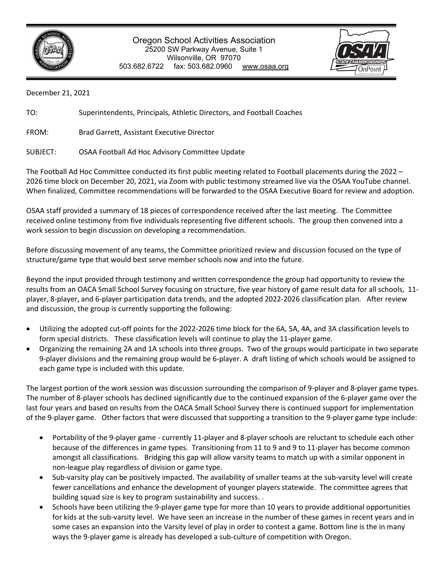

## Oregon School Activities Association 25200 SW Parkway Avenue, Suite 1 Wilsonville, OR 97070 503.682.6722 fax: 503.682.0960 www.osaa.org



December 21, 2021

TO: Superintendents, Principals, Athletic Directors, and Football Coaches

FROM: Brad Garrett, Assistant Executive Director

SUBJECT: OSAA Football Ad Hoc Advisory Committee Update

The Football Ad Hoc Committee conducted its first public meeting related to Football placements during the 2022 – 2026 time block on December 20, 2021, via Zoom with public testimony streamed live via the OSAA YouTube channel. When finalized, Committee recommendations will be forwarded to the OSAA Executive Board for review and adoption.

OSAA staff provided a summary of 18 pieces of correspondence received after the last meeting. The Committee received online testimony from five individuals representing five different schools. The group then convened into a work session to begin discussion on developing a recommendation.

Before discussing movement of any teams, the Committee prioritized review and discussion focused on the type of structure/game type that would best serve member schools now and into the future.

Beyond the input provided through testimony and written correspondence the group had opportunity to review the results from an OACA Small School Survey focusing on structure, five year history of game result data for all schools, 11 player, 8-player, and 6-player participation data trends, and the adopted 2022-2026 classification plan. After review and discussion, the group is currently supporting the following:

- Utilizing the adopted cut-off points for the 2022-2026 time block for the 6A, 5A, 4A, and 3A classification levels to form special districts. These classification levels will continue to play the 11-player game.
- Organizing the remaining 2A and 1A schools into three groups. Two of the groups would participate in two separate 9-player divisions and the remaining group would be 6-player. A draft listing of which schools would be assigned to each game type is included with this update.

The largest portion of the work session was discussion surrounding the comparison of 9-player and 8-player game types. The number of 8-player schools has declined significantly due to the continued expansion of the 6-player game over the last four years and based on results from the OACA Small School Survey there is continued support for implementation of the 9-player game. Other factors that were discussed that supporting a transition to the 9-player game type include:

- Portability of the 9-player game currently 11-player and 8-player schools are reluctant to schedule each other because of the differences in game types. Transitioning from 11 to 9 and 9 to 11-player has become common amongst all classifications. Bridging this gap will allow varsity teams to match up with a similar opponent in non-league play regardless of division or game type.
- Sub-varsity play can be positively impacted. The availability of smaller teams at the sub-varsity level will create fewer cancellations and enhance the development of younger players statewide. The committee agrees that building squad size is key to program sustainability and success. .
- Schools have been utilizing the 9-player game type for more than 10 years to provide additional opportunities for kids at the sub-varsity level. We have seen an increase in the number of these games in recent years and in some cases an expansion into the Varsity level of play in order to contest a game. Bottom line is the in many ways the 9-player game is already has developed a sub-culture of competition with Oregon.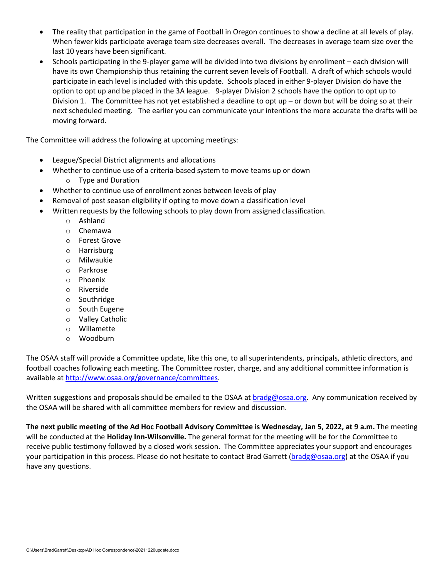- The reality that participation in the game of Football in Oregon continues to show a decline at all levels of play. When fewer kids participate average team size decreases overall. The decreases in average team size over the last 10 years have been significant.
- Schools participating in the 9-player game will be divided into two divisions by enrollment each division will have its own Championship thus retaining the current seven levels of Football. A draft of which schools would participate in each level is included with this update. Schools placed in either 9-player Division do have the option to opt up and be placed in the 3A league. 9-player Division 2 schools have the option to opt up to Division 1. The Committee has not yet established a deadline to opt up – or down but will be doing so at their next scheduled meeting. The earlier you can communicate your intentions the more accurate the drafts will be moving forward.

The Committee will address the following at upcoming meetings:

- League/Special District alignments and allocations
- Whether to continue use of a criteria-based system to move teams up or down
	- o Type and Duration
- Whether to continue use of enrollment zones between levels of play
- Removal of post season eligibility if opting to move down a classification level
- Written requests by the following schools to play down from assigned classification.
	- o Ashland
	- o Chemawa
	- o Forest Grove
	- o Harrisburg
	- o Milwaukie
	- o Parkrose
	- o Phoenix
	- o Riverside
	- o Southridge
	- o South Eugene
	- o Valley Catholic
	- o Willamette
	- o Woodburn

The OSAA staff will provide a Committee update, like this one, to all superintendents, principals, athletic directors, and football coaches following each meeting. The Committee roster, charge, and any additional committee information is available a[t http://www.osaa.org/governance/committees.](http://www.osaa.org/governance/committees)

Written suggestions and proposals should be emailed to the OSAA at **bradg@osaa.org**. Any communication received by the OSAA will be shared with all committee members for review and discussion.

**The next public meeting of the Ad Hoc Football Advisory Committee is Wednesday, Jan 5, 2022, at 9 a.m.** The meeting will be conducted at the **Holiday Inn-Wilsonville.** The general format for the meeting will be for the Committee to receive public testimony followed by a closed work session.The Committee appreciates your support and encourages your participation in this process. Please do not hesitate to contact Brad Garrett [\(bradg@osaa.org\)](mailto:bradg@osaa.org) at the OSAA if you have any questions.